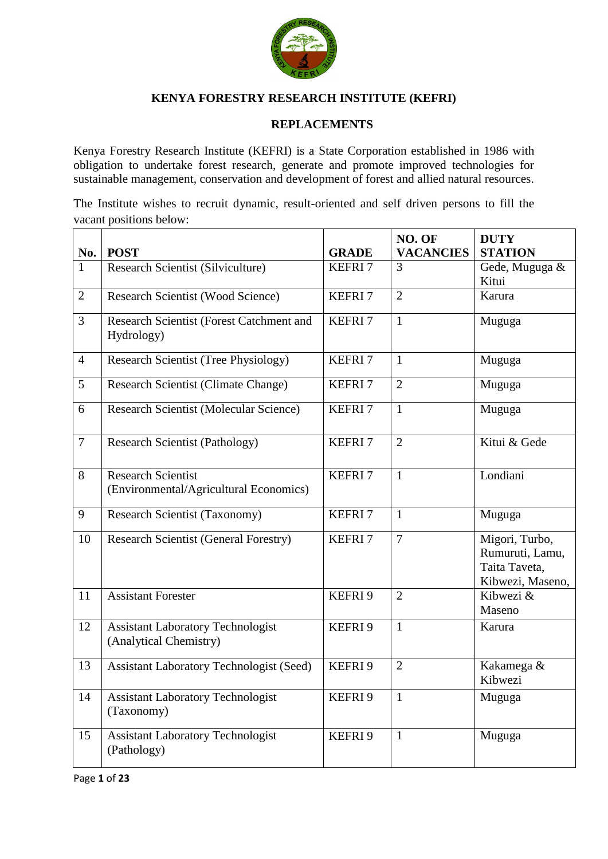

# **KENYA FORESTRY RESEARCH INSTITUTE (KEFRI)**

#### **REPLACEMENTS**

Kenya Forestry Research Institute (KEFRI) is a State Corporation established in 1986 with obligation to undertake forest research, generate and promote improved technologies for sustainable management, conservation and development of forest and allied natural resources.

The Institute wishes to recruit dynamic, result-oriented and self driven persons to fill the vacant positions below:

|                |                                                                     |                    | NO. OF           | <b>DUTY</b>                                                            |
|----------------|---------------------------------------------------------------------|--------------------|------------------|------------------------------------------------------------------------|
| No.            | <b>POST</b>                                                         | <b>GRADE</b>       | <b>VACANCIES</b> | <b>STATION</b>                                                         |
| $\mathbf{1}$   | Research Scientist (Silviculture)                                   | <b>KEFRI7</b>      | 3                | Gede, Muguga &<br>Kitui                                                |
| $\overline{2}$ | Research Scientist (Wood Science)                                   | <b>KEFRI7</b>      | $\overline{2}$   | Karura                                                                 |
| 3              | Research Scientist (Forest Catchment and<br>Hydrology)              | <b>KEFRI7</b>      | $\mathbf{1}$     | Muguga                                                                 |
| $\overline{4}$ | <b>Research Scientist (Tree Physiology)</b>                         | <b>KEFRI7</b>      | $\mathbf{1}$     | Muguga                                                                 |
| 5              | <b>Research Scientist (Climate Change)</b>                          | <b>KEFRI7</b>      | $\overline{2}$   | Muguga                                                                 |
| 6              | Research Scientist (Molecular Science)                              | <b>KEFRI7</b>      | $\mathbf{1}$     | Muguga                                                                 |
| $\overline{7}$ | <b>Research Scientist (Pathology)</b>                               | <b>KEFRI7</b>      | $\overline{2}$   | Kitui & Gede                                                           |
| 8              | <b>Research Scientist</b><br>(Environmental/Agricultural Economics) | KEFRI <sub>7</sub> | $\mathbf{1}$     | Londiani                                                               |
| 9              | <b>Research Scientist (Taxonomy)</b>                                | KEFRI <sub>7</sub> | $\mathbf{1}$     | Muguga                                                                 |
| 10             | <b>Research Scientist (General Forestry)</b>                        | KEFRI <sub>7</sub> | $\overline{7}$   | Migori, Turbo,<br>Rumuruti, Lamu,<br>Taita Taveta,<br>Kibwezi, Maseno, |
| 11             | <b>Assistant Forester</b>                                           | KEFRI 9            | $\overline{2}$   | Kibwezi &<br>Maseno                                                    |
| 12             | <b>Assistant Laboratory Technologist</b><br>(Analytical Chemistry)  | KEFRI 9            | $\mathbf{1}$     | Karura                                                                 |
| 13             | <b>Assistant Laboratory Technologist (Seed)</b>                     | KEFRI 9            | $\overline{2}$   | Kakamega &<br>Kibwezi                                                  |
| 14             | <b>Assistant Laboratory Technologist</b><br>(Taxonomy)              | KEFRI 9            | $\mathbf{1}$     | Muguga                                                                 |
| 15             | <b>Assistant Laboratory Technologist</b><br>(Pathology)             | KEFRI 9            | $\mathbf{1}$     | Muguga                                                                 |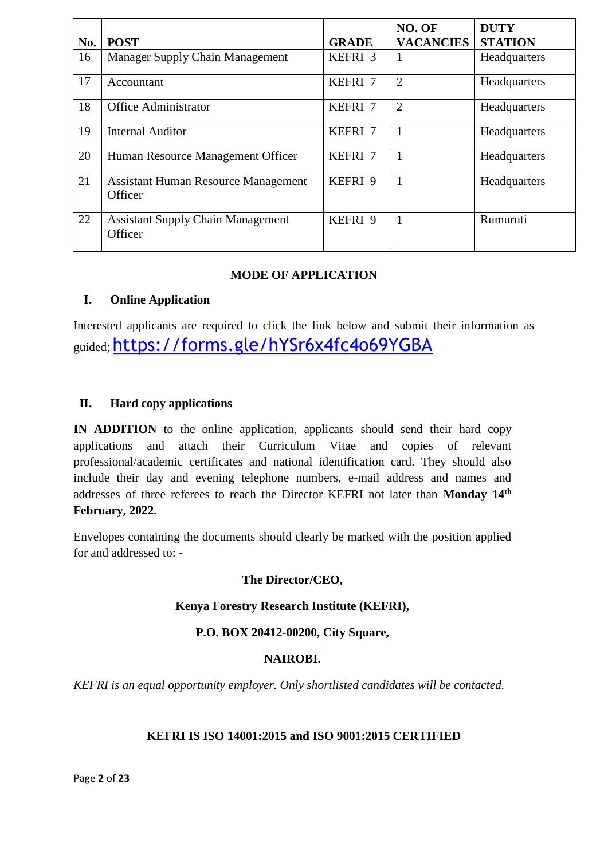|     |                                                       |              | NO. OF           | <b>DUTY</b>    |
|-----|-------------------------------------------------------|--------------|------------------|----------------|
| No. | <b>POST</b>                                           | <b>GRADE</b> | <b>VACANCIES</b> | <b>STATION</b> |
| 16  | Manager Supply Chain Management                       | KEFRI 3      | 1                | Headquarters   |
| 17  | Accountant                                            | KEFRI 7      | $\overline{2}$   | Headquarters   |
| 18  | <b>Office Administrator</b>                           | KEFRI 7      | $\overline{2}$   | Headquarters   |
| 19  | <b>Internal Auditor</b>                               | KEFRI 7      | $\mathbf{1}$     | Headquarters   |
| 20  | Human Resource Management Officer                     | KEFRI 7      | 1                | Headquarters   |
| 21  | <b>Assistant Human Resource Management</b><br>Officer | KEFRI 9      | 1                | Headquarters   |
| 22  | <b>Assistant Supply Chain Management</b><br>Officer   | KEFRI 9      | $\mathbf{1}$     | Rumuruti       |

## **MODE OF APPLICATION**

## **I. Online Application**

Interested applicants are required to click the link below and submit their information as guided; <https://forms.gle/hYSr6x4fc4o69YGBA>

## **II. Hard copy applications**

**IN ADDITION** to the online application, applicants should send their hard copy applications and attach their Curriculum Vitae and copies of relevant professional/academic certificates and national identification card. They should also include their day and evening telephone numbers, e-mail address and names and addresses of three referees to reach the Director KEFRI not later than Monday 14<sup>th</sup> **February, 2022.**

Envelopes containing the documents should clearly be marked with the position applied for and addressed to: -

#### **The Director/CEO,**

#### **Kenya Forestry Research Institute (KEFRI),**

## **P.O. BOX 20412-00200, City Square,**

#### **NAIROBI.**

*KEFRI is an equal opportunity employer. Only shortlisted candidates will be contacted.*

#### **KEFRI IS ISO 14001:2015 and ISO 9001:2015 CERTIFIED**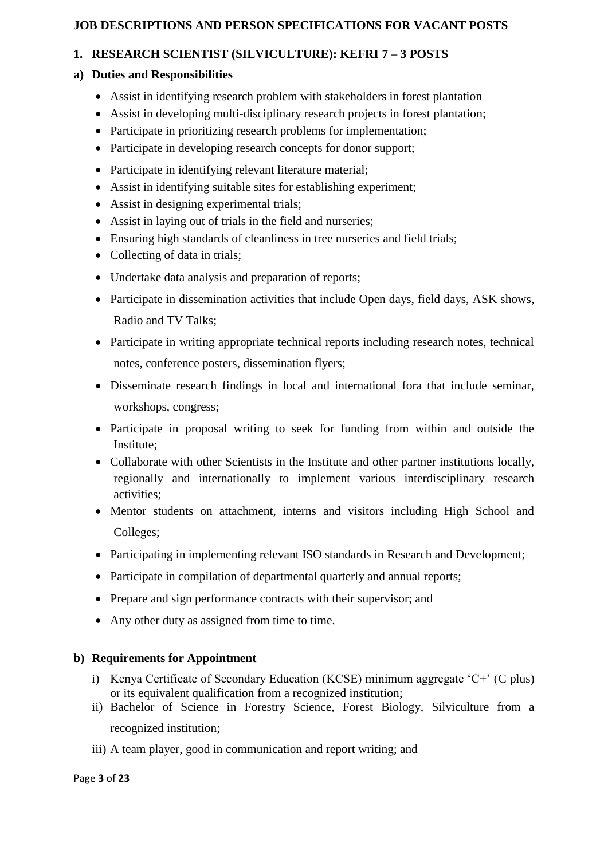## **JOB DESCRIPTIONS AND PERSON SPECIFICATIONS FOR VACANT POSTS**

# **1. RESEARCH SCIENTIST (SILVICULTURE): KEFRI 7 – 3 POSTS**

## **a) Duties and Responsibilities**

- Assist in identifying research problem with stakeholders in forest plantation
- Assist in developing multi-disciplinary research projects in forest plantation;
- Participate in prioritizing research problems for implementation:
- Participate in developing research concepts for donor support;
- Participate in identifying relevant literature material;
- Assist in identifying suitable sites for establishing experiment;
- Assist in designing experimental trials;
- Assist in laying out of trials in the field and nurseries;
- Ensuring high standards of cleanliness in tree nurseries and field trials;
- Collecting of data in trials;
- Undertake data analysis and preparation of reports;
- Participate in dissemination activities that include Open days, field days, ASK shows, Radio and TV Talks;
- Participate in writing appropriate technical reports including research notes, technical notes, conference posters, dissemination flyers;
- Disseminate research findings in local and international fora that include seminar, workshops, congress;
- Participate in proposal writing to seek for funding from within and outside the Institute;
- Collaborate with other Scientists in the Institute and other partner institutions locally, regionally and internationally to implement various interdisciplinary research activities;
- Mentor students on attachment, interns and visitors including High School and Colleges;
- Participating in implementing relevant ISO standards in Research and Development;
- Participate in compilation of departmental quarterly and annual reports;
- Prepare and sign performance contracts with their supervisor; and
- Any other duty as assigned from time to time.

- i) Kenya Certificate of Secondary Education (KCSE) minimum aggregate 'C+' (C plus) or its equivalent qualification from a recognized institution;
- ii) Bachelor of Science in Forestry Science, Forest Biology, Silviculture from a recognized institution;
- iii) A team player, good in communication and report writing; and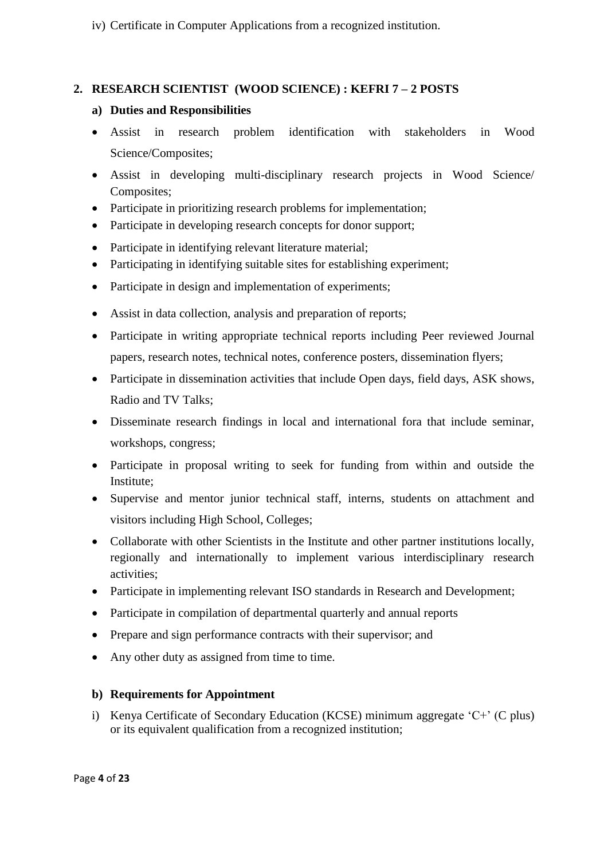iv) Certificate in Computer Applications from a recognized institution.

## **2. RESEARCH SCIENTIST (WOOD SCIENCE) : KEFRI 7 – 2 POSTS**

## **a) Duties and Responsibilities**

- Assist in research problem identification with stakeholders in Wood Science/Composites;
- Assist in developing multi-disciplinary research projects in Wood Science/ Composites;
- Participate in prioritizing research problems for implementation;
- Participate in developing research concepts for donor support;
- Participate in identifying relevant literature material;
- Participating in identifying suitable sites for establishing experiment;
- Participate in design and implementation of experiments;
- Assist in data collection, analysis and preparation of reports;
- Participate in writing appropriate technical reports including Peer reviewed Journal papers, research notes, technical notes, conference posters, dissemination flyers;
- Participate in dissemination activities that include Open days, field days, ASK shows, Radio and TV Talks;
- Disseminate research findings in local and international fora that include seminar, workshops, congress;
- Participate in proposal writing to seek for funding from within and outside the Institute;
- Supervise and mentor junior technical staff, interns, students on attachment and visitors including High School, Colleges;
- Collaborate with other Scientists in the Institute and other partner institutions locally, regionally and internationally to implement various interdisciplinary research activities;
- Participate in implementing relevant ISO standards in Research and Development;
- Participate in compilation of departmental quarterly and annual reports
- Prepare and sign performance contracts with their supervisor; and
- Any other duty as assigned from time to time.

# **b) Requirements for Appointment**

i) Kenya Certificate of Secondary Education (KCSE) minimum aggregate 'C+' (C plus) or its equivalent qualification from a recognized institution;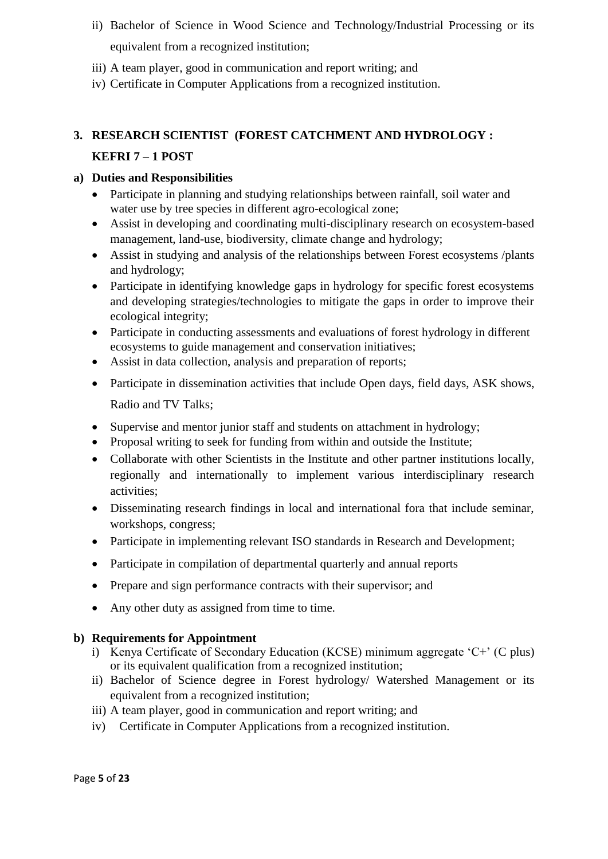- ii) Bachelor of Science in Wood Science and Technology/Industrial Processing or its equivalent from a recognized institution;
- iii) A team player, good in communication and report writing; and
- iv) Certificate in Computer Applications from a recognized institution.

# **3. RESEARCH SCIENTIST (FOREST CATCHMENT AND HYDROLOGY : KEFRI 7 – 1 POST**

# **a) Duties and Responsibilities**

- Participate in planning and studying relationships between rainfall, soil water and water use by tree species in different agro-ecological zone;
- Assist in developing and coordinating multi-disciplinary research on ecosystem-based management, land-use, biodiversity, climate change and hydrology;
- Assist in studying and analysis of the relationships between Forest ecosystems /plants and hydrology;
- Participate in identifying knowledge gaps in hydrology for specific forest ecosystems and developing strategies/technologies to mitigate the gaps in order to improve their ecological integrity;
- Participate in conducting assessments and evaluations of forest hydrology in different ecosystems to guide management and conservation initiatives;
- Assist in data collection, analysis and preparation of reports;
- Participate in dissemination activities that include Open days, field days, ASK shows, Radio and TV Talks;
- Supervise and mentor junior staff and students on attachment in hydrology;
- Proposal writing to seek for funding from within and outside the Institute;
- Collaborate with other Scientists in the Institute and other partner institutions locally, regionally and internationally to implement various interdisciplinary research activities;
- Disseminating research findings in local and international fora that include seminar, workshops, congress;
- Participate in implementing relevant ISO standards in Research and Development:
- Participate in compilation of departmental quarterly and annual reports
- Prepare and sign performance contracts with their supervisor; and
- Any other duty as assigned from time to time.

- i) Kenya Certificate of Secondary Education (KCSE) minimum aggregate 'C+' (C plus) or its equivalent qualification from a recognized institution;
- ii) Bachelor of Science degree in Forest hydrology/ Watershed Management or its equivalent from a recognized institution;
- iii) A team player, good in communication and report writing; and
- iv) Certificate in Computer Applications from a recognized institution.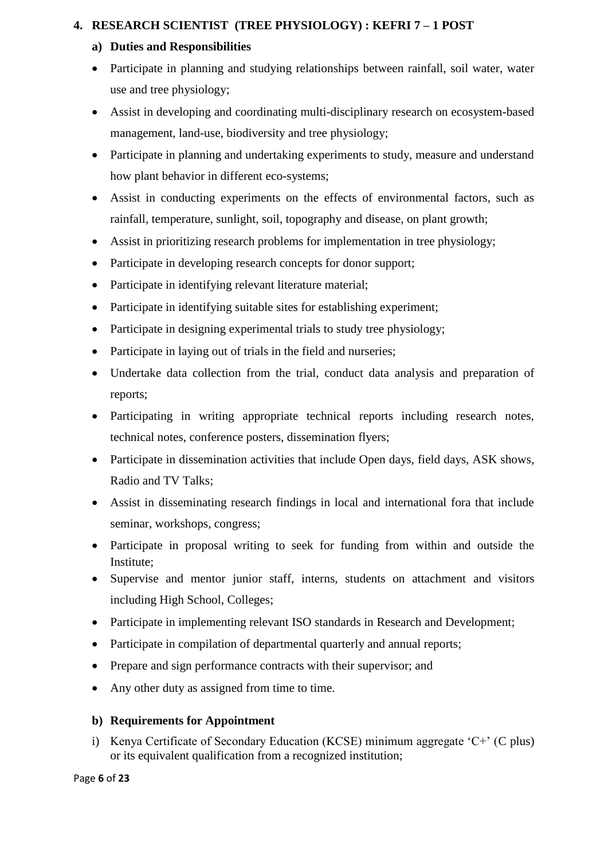# **4. RESEARCH SCIENTIST (TREE PHYSIOLOGY) : KEFRI 7 – 1 POST**

## **a) Duties and Responsibilities**

- Participate in planning and studying relationships between rainfall, soil water, water use and tree physiology;
- Assist in developing and coordinating multi-disciplinary research on ecosystem-based management, land-use, biodiversity and tree physiology;
- Participate in planning and undertaking experiments to study, measure and understand how plant behavior in different eco-systems;
- Assist in conducting experiments on the effects of environmental factors, such as rainfall, temperature, sunlight, soil, topography and disease, on plant growth;
- Assist in prioritizing research problems for implementation in tree physiology;
- Participate in developing research concepts for donor support;
- Participate in identifying relevant literature material;
- Participate in identifying suitable sites for establishing experiment;
- Participate in designing experimental trials to study tree physiology;
- Participate in laying out of trials in the field and nurseries;
- Undertake data collection from the trial, conduct data analysis and preparation of reports;
- Participating in writing appropriate technical reports including research notes, technical notes, conference posters, dissemination flyers;
- Participate in dissemination activities that include Open days, field days, ASK shows, Radio and TV Talks;
- Assist in disseminating research findings in local and international fora that include seminar, workshops, congress;
- Participate in proposal writing to seek for funding from within and outside the Institute;
- Supervise and mentor junior staff, interns, students on attachment and visitors including High School, Colleges;
- Participate in implementing relevant ISO standards in Research and Development:
- Participate in compilation of departmental quarterly and annual reports;
- Prepare and sign performance contracts with their supervisor; and
- Any other duty as assigned from time to time.

# **b) Requirements for Appointment**

i) Kenya Certificate of Secondary Education (KCSE) minimum aggregate 'C+' (C plus) or its equivalent qualification from a recognized institution;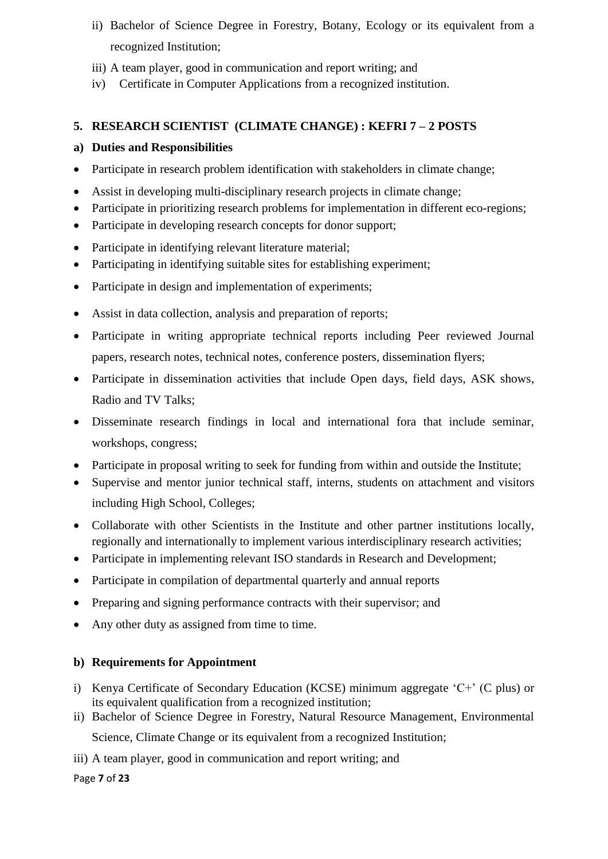- ii) Bachelor of Science Degree in Forestry, Botany, Ecology or its equivalent from a recognized Institution;
- iii) A team player, good in communication and report writing; and
- iv) Certificate in Computer Applications from a recognized institution.

# **5. RESEARCH SCIENTIST (CLIMATE CHANGE) : KEFRI 7 – 2 POSTS**

#### **a) Duties and Responsibilities**

- Participate in research problem identification with stakeholders in climate change;
- Assist in developing multi-disciplinary research projects in climate change;
- Participate in prioritizing research problems for implementation in different eco-regions;
- Participate in developing research concepts for donor support;
- Participate in identifying relevant literature material;
- Participating in identifying suitable sites for establishing experiment;
- Participate in design and implementation of experiments;
- Assist in data collection, analysis and preparation of reports;
- Participate in writing appropriate technical reports including Peer reviewed Journal papers, research notes, technical notes, conference posters, dissemination flyers;
- Participate in dissemination activities that include Open days, field days, ASK shows, Radio and TV Talks;
- Disseminate research findings in local and international fora that include seminar, workshops, congress;
- Participate in proposal writing to seek for funding from within and outside the Institute;
- Supervise and mentor junior technical staff, interns, students on attachment and visitors including High School, Colleges;
- Collaborate with other Scientists in the Institute and other partner institutions locally, regionally and internationally to implement various interdisciplinary research activities;
- Participate in implementing relevant ISO standards in Research and Development:
- Participate in compilation of departmental quarterly and annual reports
- Preparing and signing performance contracts with their supervisor; and
- Any other duty as assigned from time to time.

## **b) Requirements for Appointment**

- i) Kenya Certificate of Secondary Education (KCSE) minimum aggregate 'C+' (C plus) or its equivalent qualification from a recognized institution;
- ii) Bachelor of Science Degree in Forestry, Natural Resource Management, Environmental Science, Climate Change or its equivalent from a recognized Institution;
- iii) A team player, good in communication and report writing; and

Page **7** of **23**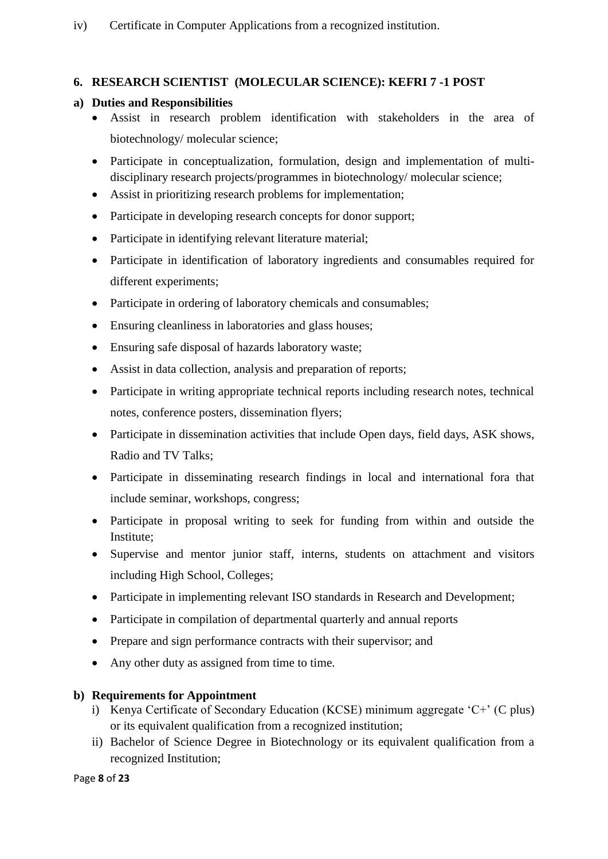# **6. RESEARCH SCIENTIST (MOLECULAR SCIENCE): KEFRI 7 -1 POST**

## **a) Duties and Responsibilities**

- Assist in research problem identification with stakeholders in the area of biotechnology/ molecular science;
- Participate in conceptualization, formulation, design and implementation of multidisciplinary research projects/programmes in biotechnology/ molecular science;
- Assist in prioritizing research problems for implementation;
- Participate in developing research concepts for donor support;
- Participate in identifying relevant literature material;
- Participate in identification of laboratory ingredients and consumables required for different experiments;
- Participate in ordering of laboratory chemicals and consumables;
- Ensuring cleanliness in laboratories and glass houses;
- Ensuring safe disposal of hazards laboratory waste;
- Assist in data collection, analysis and preparation of reports;
- Participate in writing appropriate technical reports including research notes, technical notes, conference posters, dissemination flyers;
- Participate in dissemination activities that include Open days, field days, ASK shows, Radio and TV Talks;
- Participate in disseminating research findings in local and international fora that include seminar, workshops, congress;
- Participate in proposal writing to seek for funding from within and outside the Institute;
- Supervise and mentor junior staff, interns, students on attachment and visitors including High School, Colleges;
- Participate in implementing relevant ISO standards in Research and Development;
- Participate in compilation of departmental quarterly and annual reports
- Prepare and sign performance contracts with their supervisor; and
- Any other duty as assigned from time to time.

- i) Kenya Certificate of Secondary Education (KCSE) minimum aggregate 'C+' (C plus) or its equivalent qualification from a recognized institution;
- ii) Bachelor of Science Degree in Biotechnology or its equivalent qualification from a recognized Institution;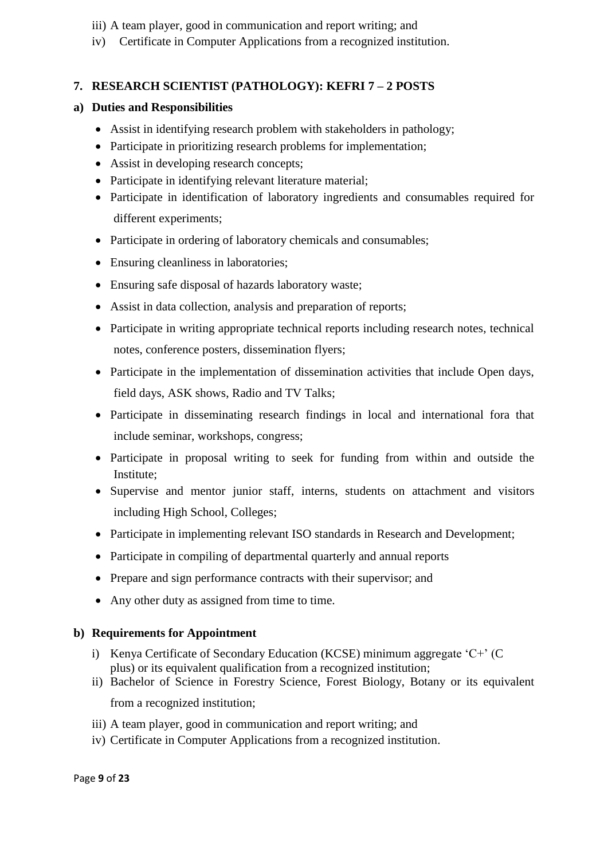- iii) A team player, good in communication and report writing; and
- iv) Certificate in Computer Applications from a recognized institution.

# **7. RESEARCH SCIENTIST (PATHOLOGY): KEFRI 7 – 2 POSTS**

## **a) Duties and Responsibilities**

- Assist in identifying research problem with stakeholders in pathology;
- Participate in prioritizing research problems for implementation;
- Assist in developing research concepts;
- Participate in identifying relevant literature material;
- Participate in identification of laboratory ingredients and consumables required for different experiments;
- Participate in ordering of laboratory chemicals and consumables;
- Ensuring cleanliness in laboratories;
- Ensuring safe disposal of hazards laboratory waste;
- Assist in data collection, analysis and preparation of reports;
- Participate in writing appropriate technical reports including research notes, technical notes, conference posters, dissemination flyers;
- Participate in the implementation of dissemination activities that include Open days, field days, ASK shows, Radio and TV Talks;
- Participate in disseminating research findings in local and international fora that include seminar, workshops, congress;
- Participate in proposal writing to seek for funding from within and outside the Institute;
- Supervise and mentor junior staff, interns, students on attachment and visitors including High School, Colleges;
- Participate in implementing relevant ISO standards in Research and Development;
- Participate in compiling of departmental quarterly and annual reports
- Prepare and sign performance contracts with their supervisor; and
- Any other duty as assigned from time to time.

- i) Kenya Certificate of Secondary Education (KCSE) minimum aggregate 'C+' (C plus) or its equivalent qualification from a recognized institution;
- ii) Bachelor of Science in Forestry Science, Forest Biology, Botany or its equivalent from a recognized institution;
- iii) A team player, good in communication and report writing; and
- iv) Certificate in Computer Applications from a recognized institution.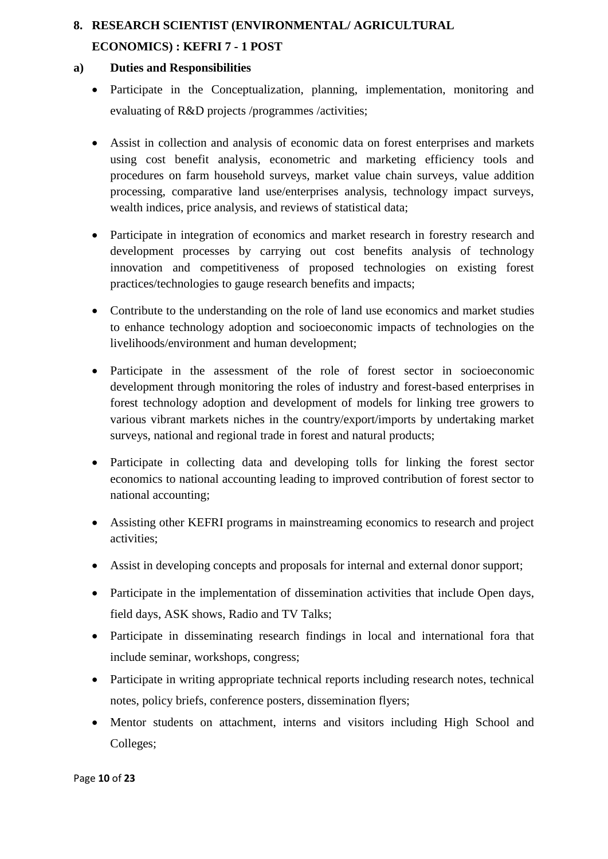# **8. RESEARCH SCIENTIST (ENVIRONMENTAL/ AGRICULTURAL ECONOMICS) : KEFRI 7 - 1 POST**

- Participate in the Conceptualization, planning, implementation, monitoring and evaluating of R&D projects /programmes /activities;
- Assist in collection and analysis of economic data on forest enterprises and markets using cost benefit analysis, econometric and marketing efficiency tools and procedures on farm household surveys, market value chain surveys, value addition processing, comparative land use/enterprises analysis, technology impact surveys, wealth indices, price analysis, and reviews of statistical data;
- Participate in integration of economics and market research in forestry research and development processes by carrying out cost benefits analysis of technology innovation and competitiveness of proposed technologies on existing forest practices/technologies to gauge research benefits and impacts;
- Contribute to the understanding on the role of land use economics and market studies to enhance technology adoption and socioeconomic impacts of technologies on the livelihoods/environment and human development;
- Participate in the assessment of the role of forest sector in socioeconomic development through monitoring the roles of industry and forest-based enterprises in forest technology adoption and development of models for linking tree growers to various vibrant markets niches in the country/export/imports by undertaking market surveys, national and regional trade in forest and natural products;
- Participate in collecting data and developing tolls for linking the forest sector economics to national accounting leading to improved contribution of forest sector to national accounting;
- Assisting other KEFRI programs in mainstreaming economics to research and project activities;
- Assist in developing concepts and proposals for internal and external donor support;
- Participate in the implementation of dissemination activities that include Open days, field days, ASK shows, Radio and TV Talks;
- Participate in disseminating research findings in local and international fora that include seminar, workshops, congress;
- Participate in writing appropriate technical reports including research notes, technical notes, policy briefs, conference posters, dissemination flyers;
- Mentor students on attachment, interns and visitors including High School and Colleges;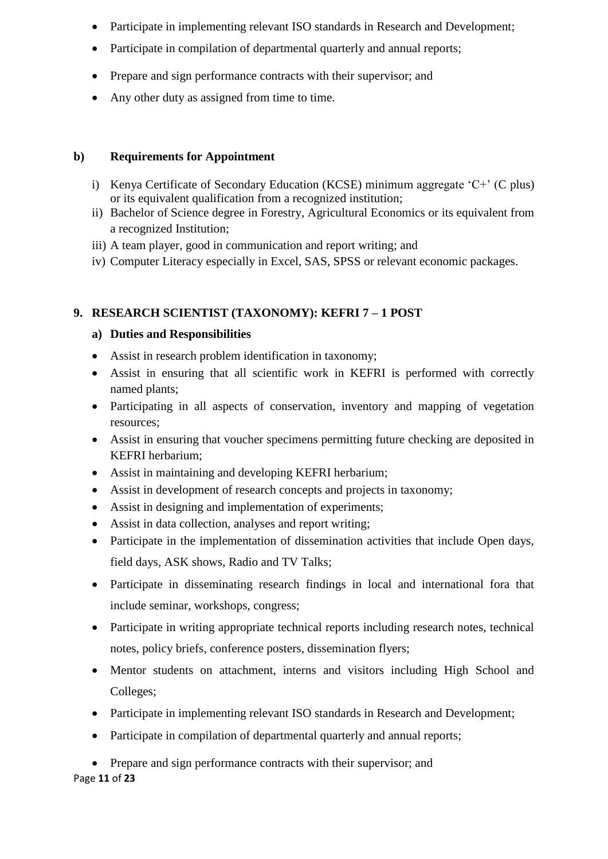- Participate in implementing relevant ISO standards in Research and Development;
- Participate in compilation of departmental quarterly and annual reports;
- Prepare and sign performance contracts with their supervisor; and
- Any other duty as assigned from time to time.

- i) Kenya Certificate of Secondary Education (KCSE) minimum aggregate 'C+' (C plus) or its equivalent qualification from a recognized institution;
- ii) Bachelor of Science degree in Forestry, Agricultural Economics or its equivalent from a recognized Institution;
- iii) A team player, good in communication and report writing; and
- iv) Computer Literacy especially in Excel, SAS, SPSS or relevant economic packages.

# **9. RESEARCH SCIENTIST (TAXONOMY): KEFRI 7 – 1 POST**

## **a) Duties and Responsibilities**

- Assist in research problem identification in taxonomy;
- Assist in ensuring that all scientific work in KEFRI is performed with correctly named plants;
- Participating in all aspects of conservation, inventory and mapping of vegetation resources;
- Assist in ensuring that voucher specimens permitting future checking are deposited in KEFRI herbarium;
- Assist in maintaining and developing KEFRI herbarium;
- Assist in development of research concepts and projects in taxonomy;
- Assist in designing and implementation of experiments;
- Assist in data collection, analyses and report writing;
- Participate in the implementation of dissemination activities that include Open days, field days, ASK shows, Radio and TV Talks;
- Participate in disseminating research findings in local and international fora that include seminar, workshops, congress;
- Participate in writing appropriate technical reports including research notes, technical notes, policy briefs, conference posters, dissemination flyers;
- Mentor students on attachment, interns and visitors including High School and Colleges;
- Participate in implementing relevant ISO standards in Research and Development;
- Participate in compilation of departmental quarterly and annual reports;
- Prepare and sign performance contracts with their supervisor; and

Page **11** of **23**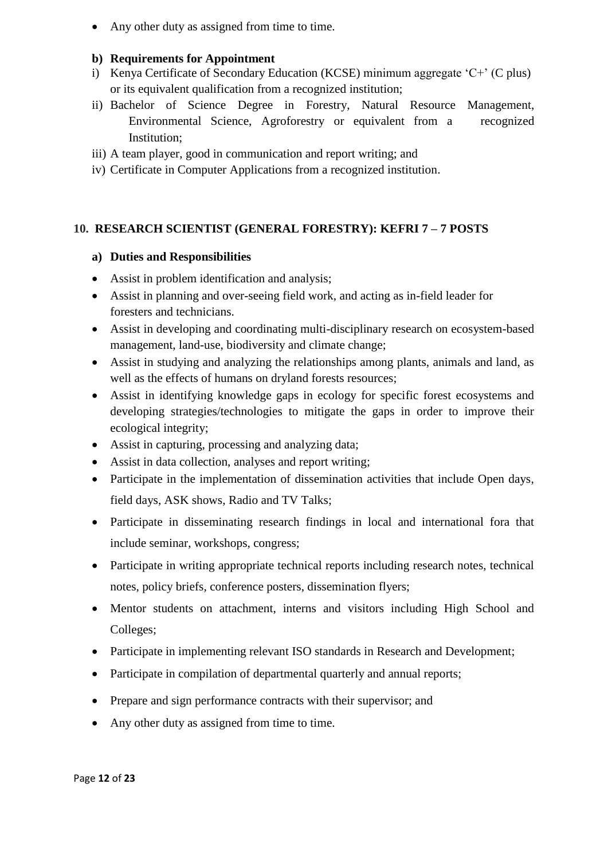• Any other duty as assigned from time to time.

#### **b) Requirements for Appointment**

- i) Kenya Certificate of Secondary Education (KCSE) minimum aggregate 'C+' (C plus) or its equivalent qualification from a recognized institution;
- ii) Bachelor of Science Degree in Forestry, Natural Resource Management, Environmental Science, Agroforestry or equivalent from a recognized Institution;
- iii) A team player, good in communication and report writing; and
- iv) Certificate in Computer Applications from a recognized institution.

## **10. RESEARCH SCIENTIST (GENERAL FORESTRY): KEFRI 7 – 7 POSTS**

- Assist in problem identification and analysis;
- Assist in planning and over-seeing field work, and acting as in-field leader for foresters and technicians.
- Assist in developing and coordinating multi-disciplinary research on ecosystem-based management, land-use, biodiversity and climate change;
- Assist in studying and analyzing the relationships among plants, animals and land, as well as the effects of humans on dryland forests resources;
- Assist in identifying knowledge gaps in ecology for specific forest ecosystems and developing strategies/technologies to mitigate the gaps in order to improve their ecological integrity;
- Assist in capturing, processing and analyzing data;
- Assist in data collection, analyses and report writing;
- Participate in the implementation of dissemination activities that include Open days, field days, ASK shows, Radio and TV Talks;
- Participate in disseminating research findings in local and international fora that include seminar, workshops, congress;
- Participate in writing appropriate technical reports including research notes, technical notes, policy briefs, conference posters, dissemination flyers;
- Mentor students on attachment, interns and visitors including High School and Colleges;
- Participate in implementing relevant ISO standards in Research and Development;
- Participate in compilation of departmental quarterly and annual reports;
- Prepare and sign performance contracts with their supervisor; and
- Any other duty as assigned from time to time.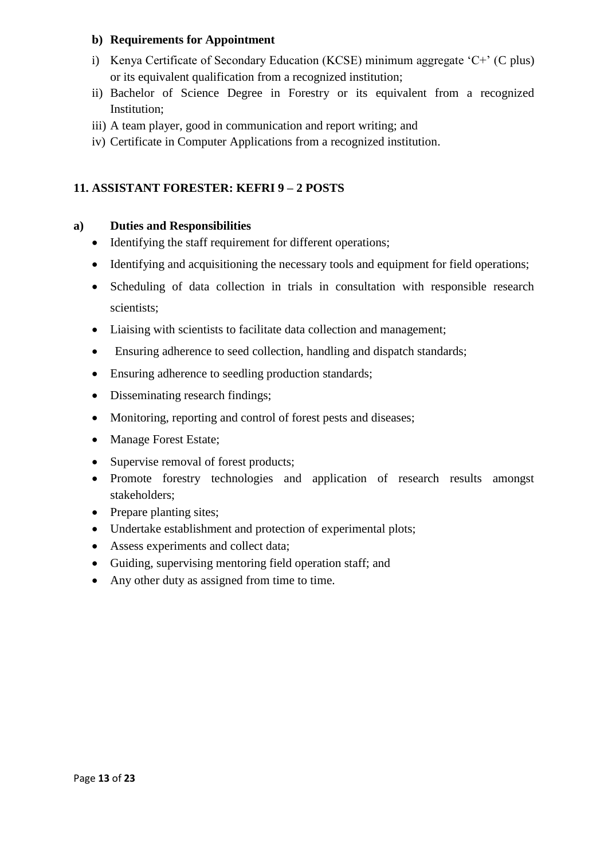- i) Kenya Certificate of Secondary Education (KCSE) minimum aggregate 'C+' (C plus) or its equivalent qualification from a recognized institution;
- ii) Bachelor of Science Degree in Forestry or its equivalent from a recognized Institution;
- iii) A team player, good in communication and report writing; and
- iv) Certificate in Computer Applications from a recognized institution.

# **11. ASSISTANT FORESTER: KEFRI 9 – 2 POSTS**

- Identifying the staff requirement for different operations:
- Identifying and acquisitioning the necessary tools and equipment for field operations;
- Scheduling of data collection in trials in consultation with responsible research scientists;
- Liaising with scientists to facilitate data collection and management;
- Ensuring adherence to seed collection, handling and dispatch standards;
- Ensuring adherence to seedling production standards;
- Disseminating research findings;
- Monitoring, reporting and control of forest pests and diseases;
- Manage Forest Estate;
- Supervise removal of forest products;
- Promote forestry technologies and application of research results amongst stakeholders;
- Prepare planting sites;
- Undertake establishment and protection of experimental plots;
- Assess experiments and collect data;
- Guiding, supervising mentoring field operation staff; and
- Any other duty as assigned from time to time.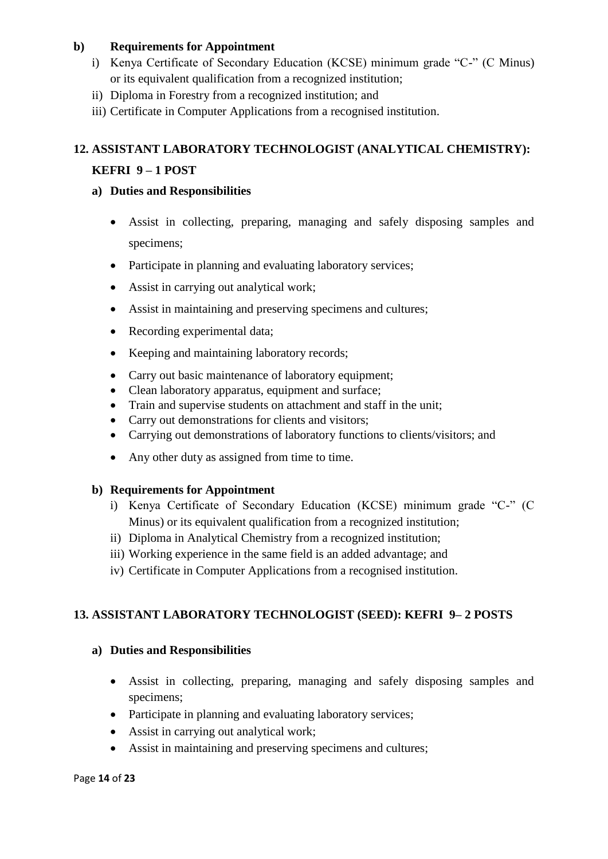- i) Kenya Certificate of Secondary Education (KCSE) minimum grade "C-" (C Minus) or its equivalent qualification from a recognized institution;
- ii) Diploma in Forestry from a recognized institution; and
- iii) Certificate in Computer Applications from a recognised institution.

# **12. ASSISTANT LABORATORY TECHNOLOGIST (ANALYTICAL CHEMISTRY):**

# **KEFRI 9 – 1 POST**

## **a) Duties and Responsibilities**

- Assist in collecting, preparing, managing and safely disposing samples and specimens;
- Participate in planning and evaluating laboratory services;
- Assist in carrying out analytical work;
- Assist in maintaining and preserving specimens and cultures;
- Recording experimental data:
- Keeping and maintaining laboratory records;
- Carry out basic maintenance of laboratory equipment;
- Clean laboratory apparatus, equipment and surface;
- Train and supervise students on attachment and staff in the unit;
- Carry out demonstrations for clients and visitors;
- Carrying out demonstrations of laboratory functions to clients/visitors; and
- Any other duty as assigned from time to time.

# **b) Requirements for Appointment**

- i) Kenya Certificate of Secondary Education (KCSE) minimum grade "C-" (C Minus) or its equivalent qualification from a recognized institution;
- ii) Diploma in Analytical Chemistry from a recognized institution;
- iii) Working experience in the same field is an added advantage; and
- iv) Certificate in Computer Applications from a recognised institution.

# **13. ASSISTANT LABORATORY TECHNOLOGIST (SEED): KEFRI 9– 2 POSTS**

- Assist in collecting, preparing, managing and safely disposing samples and specimens;
- Participate in planning and evaluating laboratory services;
- Assist in carrying out analytical work;
- Assist in maintaining and preserving specimens and cultures;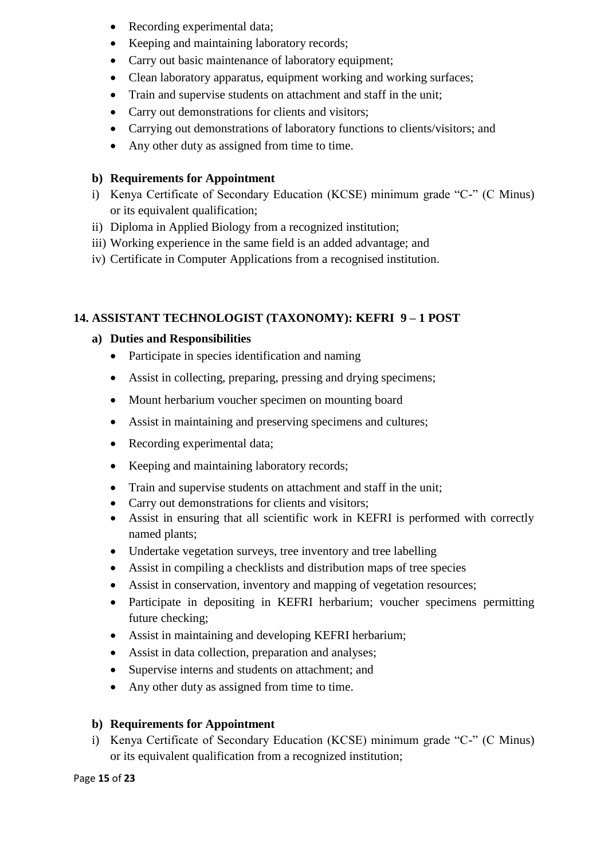- Recording experimental data;
- Keeping and maintaining laboratory records;
- Carry out basic maintenance of laboratory equipment;
- Clean laboratory apparatus, equipment working and working surfaces;
- Train and supervise students on attachment and staff in the unit;
- Carry out demonstrations for clients and visitors:
- Carrying out demonstrations of laboratory functions to clients/visitors; and
- Any other duty as assigned from time to time.

- i) Kenya Certificate of Secondary Education (KCSE) minimum grade "C-" (C Minus) or its equivalent qualification;
- ii) Diploma in Applied Biology from a recognized institution;
- iii) Working experience in the same field is an added advantage; and
- iv) Certificate in Computer Applications from a recognised institution.

## **14. ASSISTANT TECHNOLOGIST (TAXONOMY): KEFRI 9 – 1 POST**

## **a) Duties and Responsibilities**

- Participate in species identification and naming
- Assist in collecting, preparing, pressing and drying specimens;
- Mount herbarium voucher specimen on mounting board
- Assist in maintaining and preserving specimens and cultures;
- Recording experimental data:
- Keeping and maintaining laboratory records;
- Train and supervise students on attachment and staff in the unit;
- Carry out demonstrations for clients and visitors;
- Assist in ensuring that all scientific work in KEFRI is performed with correctly named plants;
- Undertake vegetation surveys, tree inventory and tree labelling
- Assist in compiling a checklists and distribution maps of tree species
- Assist in conservation, inventory and mapping of vegetation resources;
- Participate in depositing in KEFRI herbarium; voucher specimens permitting future checking;
- Assist in maintaining and developing KEFRI herbarium;
- Assist in data collection, preparation and analyses;
- Supervise interns and students on attachment; and
- Any other duty as assigned from time to time.

## **b) Requirements for Appointment**

i) Kenya Certificate of Secondary Education (KCSE) minimum grade "C-" (C Minus) or its equivalent qualification from a recognized institution;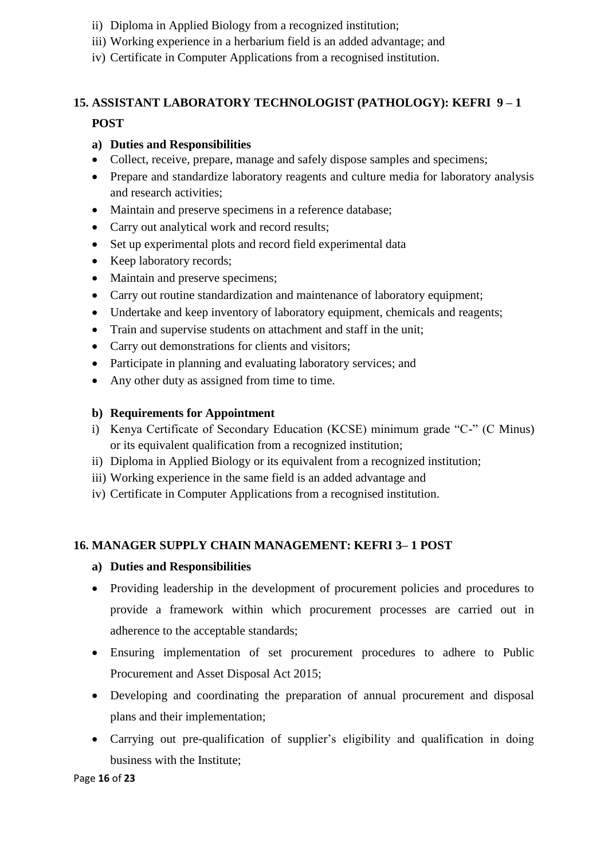- ii) Diploma in Applied Biology from a recognized institution;
- iii) Working experience in a herbarium field is an added advantage; and
- iv) Certificate in Computer Applications from a recognised institution.

# **15. ASSISTANT LABORATORY TECHNOLOGIST (PATHOLOGY): KEFRI 9 – 1**

#### **POST**

#### **a) Duties and Responsibilities**

- Collect, receive, prepare, manage and safely dispose samples and specimens;
- Prepare and standardize laboratory reagents and culture media for laboratory analysis and research activities;
- Maintain and preserve specimens in a reference database;
- Carry out analytical work and record results;
- Set up experimental plots and record field experimental data
- Keep laboratory records;
- Maintain and preserve specimens;
- Carry out routine standardization and maintenance of laboratory equipment;
- Undertake and keep inventory of laboratory equipment, chemicals and reagents;
- Train and supervise students on attachment and staff in the unit;
- Carry out demonstrations for clients and visitors;
- Participate in planning and evaluating laboratory services; and
- Any other duty as assigned from time to time.

#### **b) Requirements for Appointment**

- i) Kenya Certificate of Secondary Education (KCSE) minimum grade "C-" (C Minus) or its equivalent qualification from a recognized institution;
- ii) Diploma in Applied Biology or its equivalent from a recognized institution;
- iii) Working experience in the same field is an added advantage and
- iv) Certificate in Computer Applications from a recognised institution.

#### **16. MANAGER SUPPLY CHAIN MANAGEMENT: KEFRI 3– 1 POST**

- Providing leadership in the development of procurement policies and procedures to provide a framework within which procurement processes are carried out in adherence to the acceptable standards;
- Ensuring implementation of set procurement procedures to adhere to Public Procurement and Asset Disposal Act 2015;
- Developing and coordinating the preparation of annual procurement and disposal plans and their implementation;
- Carrying out pre-qualification of supplier's eligibility and qualification in doing business with the Institute;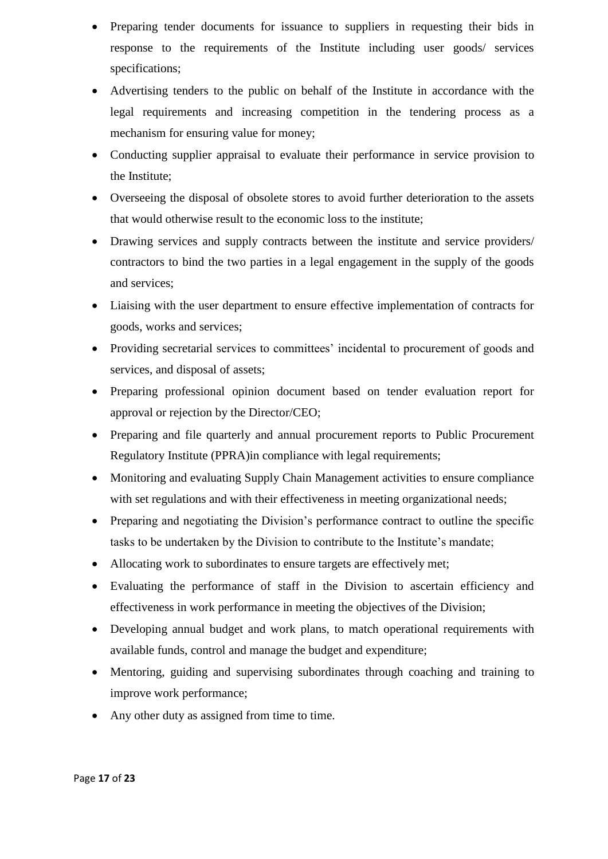- Preparing tender documents for issuance to suppliers in requesting their bids in response to the requirements of the Institute including user goods/ services specifications;
- Advertising tenders to the public on behalf of the Institute in accordance with the legal requirements and increasing competition in the tendering process as a mechanism for ensuring value for money;
- Conducting supplier appraisal to evaluate their performance in service provision to the Institute;
- Overseeing the disposal of obsolete stores to avoid further deterioration to the assets that would otherwise result to the economic loss to the institute;
- Drawing services and supply contracts between the institute and service providers/ contractors to bind the two parties in a legal engagement in the supply of the goods and services;
- Liaising with the user department to ensure effective implementation of contracts for goods, works and services;
- Providing secretarial services to committees' incidental to procurement of goods and services, and disposal of assets;
- Preparing professional opinion document based on tender evaluation report for approval or rejection by the Director/CEO;
- Preparing and file quarterly and annual procurement reports to Public Procurement Regulatory Institute (PPRA)in compliance with legal requirements;
- Monitoring and evaluating Supply Chain Management activities to ensure compliance with set regulations and with their effectiveness in meeting organizational needs;
- Preparing and negotiating the Division's performance contract to outline the specific tasks to be undertaken by the Division to contribute to the Institute's mandate;
- Allocating work to subordinates to ensure targets are effectively met;
- Evaluating the performance of staff in the Division to ascertain efficiency and effectiveness in work performance in meeting the objectives of the Division;
- Developing annual budget and work plans, to match operational requirements with available funds, control and manage the budget and expenditure;
- Mentoring, guiding and supervising subordinates through coaching and training to improve work performance;
- Any other duty as assigned from time to time.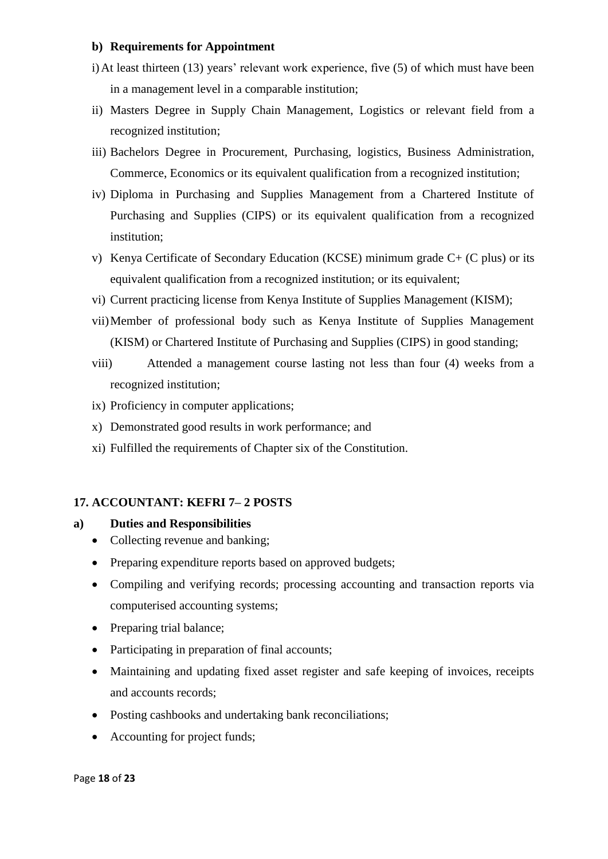- i)At least thirteen (13) years' relevant work experience, five (5) of which must have been in a management level in a comparable institution;
- ii) Masters Degree in Supply Chain Management, Logistics or relevant field from a recognized institution;
- iii) Bachelors Degree in Procurement, Purchasing, logistics, Business Administration, Commerce, Economics or its equivalent qualification from a recognized institution;
- iv) Diploma in Purchasing and Supplies Management from a Chartered Institute of Purchasing and Supplies (CIPS) or its equivalent qualification from a recognized institution;
- v) Kenya Certificate of Secondary Education (KCSE) minimum grade C+ (C plus) or its equivalent qualification from a recognized institution; or its equivalent;
- vi) Current practicing license from Kenya Institute of Supplies Management (KISM);
- vii)Member of professional body such as Kenya Institute of Supplies Management (KISM) or Chartered Institute of Purchasing and Supplies (CIPS) in good standing;
- viii) Attended a management course lasting not less than four (4) weeks from a recognized institution;
- ix) Proficiency in computer applications;
- x) Demonstrated good results in work performance; and
- xi) Fulfilled the requirements of Chapter six of the Constitution.

## **17. ACCOUNTANT: KEFRI 7– 2 POSTS**

- Collecting revenue and banking;
- Preparing expenditure reports based on approved budgets;
- Compiling and verifying records; processing accounting and transaction reports via computerised accounting systems;
- Preparing trial balance;
- Participating in preparation of final accounts;
- Maintaining and updating fixed asset register and safe keeping of invoices, receipts and accounts records;
- Posting cashbooks and undertaking bank reconciliations;
- Accounting for project funds;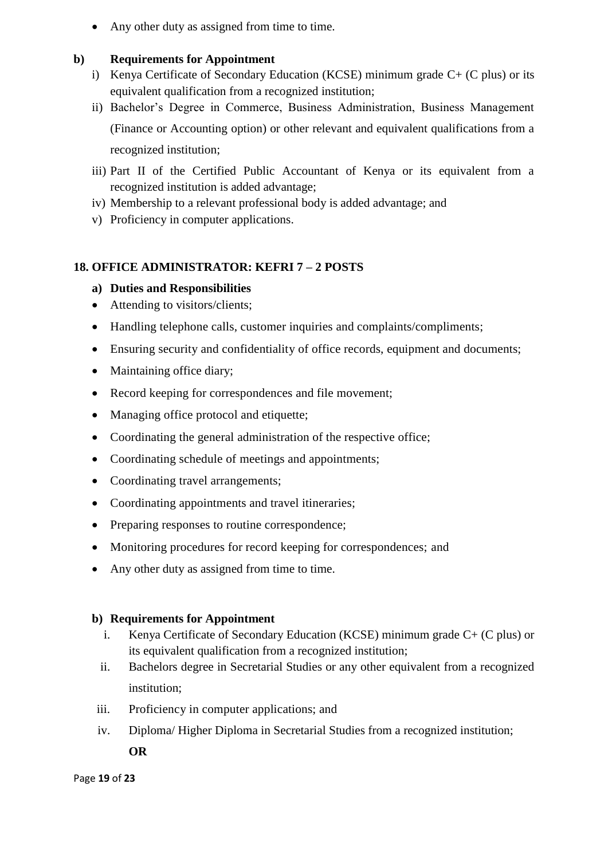• Any other duty as assigned from time to time.

#### **b) Requirements for Appointment**

- i) Kenya Certificate of Secondary Education (KCSE) minimum grade C+ (C plus) or its equivalent qualification from a recognized institution;
- ii) Bachelor's Degree in Commerce, Business Administration, Business Management (Finance or Accounting option) or other relevant and equivalent qualifications from a recognized institution;
- iii) Part II of the Certified Public Accountant of Kenya or its equivalent from a recognized institution is added advantage;
- iv) Membership to a relevant professional body is added advantage; and
- v) Proficiency in computer applications.

## **18. OFFICE ADMINISTRATOR: KEFRI 7 – 2 POSTS**

#### **a) Duties and Responsibilities**

- Attending to visitors/clients;
- Handling telephone calls, customer inquiries and complaints/compliments;
- Ensuring security and confidentiality of office records, equipment and documents;
- Maintaining office diary;
- Record keeping for correspondences and file movement;
- Managing office protocol and etiquette;
- Coordinating the general administration of the respective office;
- Coordinating schedule of meetings and appointments;
- Coordinating travel arrangements;
- Coordinating appointments and travel itineraries;
- Preparing responses to routine correspondence;
- Monitoring procedures for record keeping for correspondences; and
- Any other duty as assigned from time to time.

## **b) Requirements for Appointment**

- i. Kenya Certificate of Secondary Education (KCSE) minimum grade C+ (C plus) or its equivalent qualification from a recognized institution;
- ii. Bachelors degree in Secretarial Studies or any other equivalent from a recognized institution;
- iii. Proficiency in computer applications; and
- iv. Diploma/ Higher Diploma in Secretarial Studies from a recognized institution;

**OR**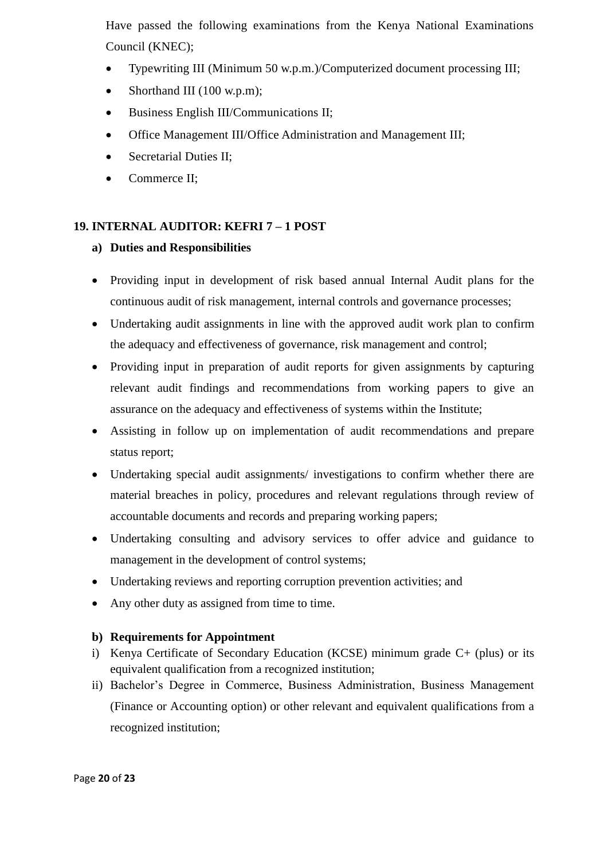Have passed the following examinations from the Kenya National Examinations Council (KNEC);

- Typewriting III (Minimum 50 w.p.m.)/Computerized document processing III;
- Shorthand III (100 w.p.m);
- Business English III/Communications II;
- Office Management III/Office Administration and Management III;
- Secretarial Duties II;
- Commerce II;

# **19. INTERNAL AUDITOR: KEFRI 7 – 1 POST**

## **a) Duties and Responsibilities**

- Providing input in development of risk based annual Internal Audit plans for the continuous audit of risk management, internal controls and governance processes;
- Undertaking audit assignments in line with the approved audit work plan to confirm the adequacy and effectiveness of governance, risk management and control;
- Providing input in preparation of audit reports for given assignments by capturing relevant audit findings and recommendations from working papers to give an assurance on the adequacy and effectiveness of systems within the Institute;
- Assisting in follow up on implementation of audit recommendations and prepare status report;
- Undertaking special audit assignments/ investigations to confirm whether there are material breaches in policy, procedures and relevant regulations through review of accountable documents and records and preparing working papers;
- Undertaking consulting and advisory services to offer advice and guidance to management in the development of control systems;
- Undertaking reviews and reporting corruption prevention activities; and
- Any other duty as assigned from time to time.

- i) Kenya Certificate of Secondary Education (KCSE) minimum grade C+ (plus) or its equivalent qualification from a recognized institution;
- ii) Bachelor's Degree in Commerce, Business Administration, Business Management (Finance or Accounting option) or other relevant and equivalent qualifications from a recognized institution;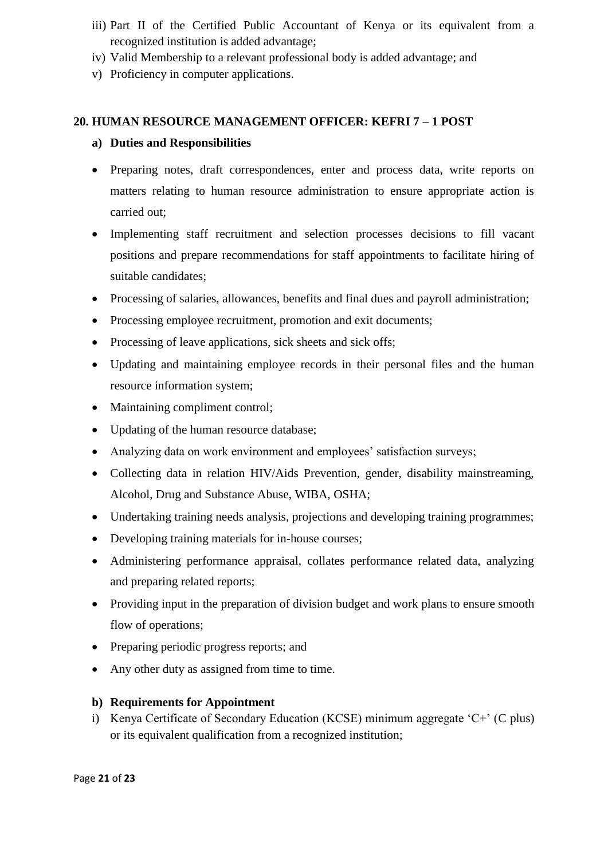- iii) Part II of the Certified Public Accountant of Kenya or its equivalent from a recognized institution is added advantage;
- iv) Valid Membership to a relevant professional body is added advantage; and
- v) Proficiency in computer applications.

## **20. HUMAN RESOURCE MANAGEMENT OFFICER: KEFRI 7 – 1 POST**

#### **a) Duties and Responsibilities**

- Preparing notes, draft correspondences, enter and process data, write reports on matters relating to human resource administration to ensure appropriate action is carried out;
- Implementing staff recruitment and selection processes decisions to fill vacant positions and prepare recommendations for staff appointments to facilitate hiring of suitable candidates;
- Processing of salaries, allowances, benefits and final dues and payroll administration;
- Processing employee recruitment, promotion and exit documents;
- Processing of leave applications, sick sheets and sick offs;
- Updating and maintaining employee records in their personal files and the human resource information system;
- Maintaining compliment control;
- Updating of the human resource database;
- Analyzing data on work environment and employees' satisfaction surveys;
- Collecting data in relation HIV/Aids Prevention, gender, disability mainstreaming, Alcohol, Drug and Substance Abuse, WIBA, OSHA;
- Undertaking training needs analysis, projections and developing training programmes;
- Developing training materials for in-house courses;
- Administering performance appraisal, collates performance related data, analyzing and preparing related reports;
- Providing input in the preparation of division budget and work plans to ensure smooth flow of operations;
- Preparing periodic progress reports; and
- Any other duty as assigned from time to time.

## **b) Requirements for Appointment**

i) Kenya Certificate of Secondary Education (KCSE) minimum aggregate 'C+' (C plus) or its equivalent qualification from a recognized institution;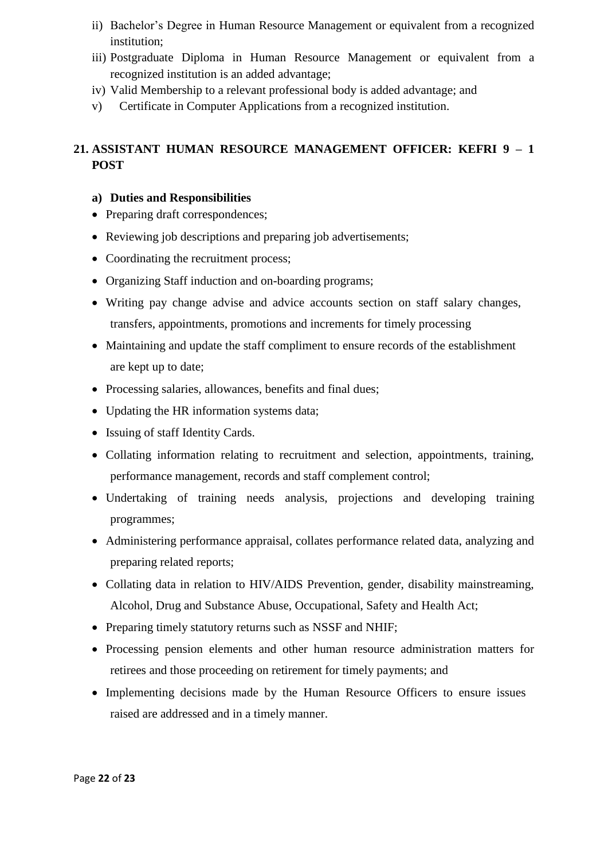- ii) Bachelor's Degree in Human Resource Management or equivalent from a recognized institution;
- iii) Postgraduate Diploma in Human Resource Management or equivalent from a recognized institution is an added advantage;
- iv) Valid Membership to a relevant professional body is added advantage; and
- v) Certificate in Computer Applications from a recognized institution.

# **21. ASSISTANT HUMAN RESOURCE MANAGEMENT OFFICER: KEFRI 9 – 1 POST**

- Preparing draft correspondences;
- Reviewing job descriptions and preparing job advertisements;
- Coordinating the recruitment process;
- Organizing Staff induction and on-boarding programs;
- Writing pay change advise and advice accounts section on staff salary changes, transfers, appointments, promotions and increments for timely processing
- Maintaining and update the staff compliment to ensure records of the establishment are kept up to date;
- Processing salaries, allowances, benefits and final dues;
- Updating the HR information systems data;
- Issuing of staff Identity Cards.
- Collating information relating to recruitment and selection, appointments, training, performance management, records and staff complement control;
- Undertaking of training needs analysis, projections and developing training programmes;
- Administering performance appraisal, collates performance related data, analyzing and preparing related reports;
- Collating data in relation to HIV/AIDS Prevention, gender, disability mainstreaming, Alcohol, Drug and Substance Abuse, Occupational, Safety and Health Act;
- Preparing timely statutory returns such as NSSF and NHIF;
- Processing pension elements and other human resource administration matters for retirees and those proceeding on retirement for timely payments; and
- Implementing decisions made by the Human Resource Officers to ensure issues raised are addressed and in a timely manner.